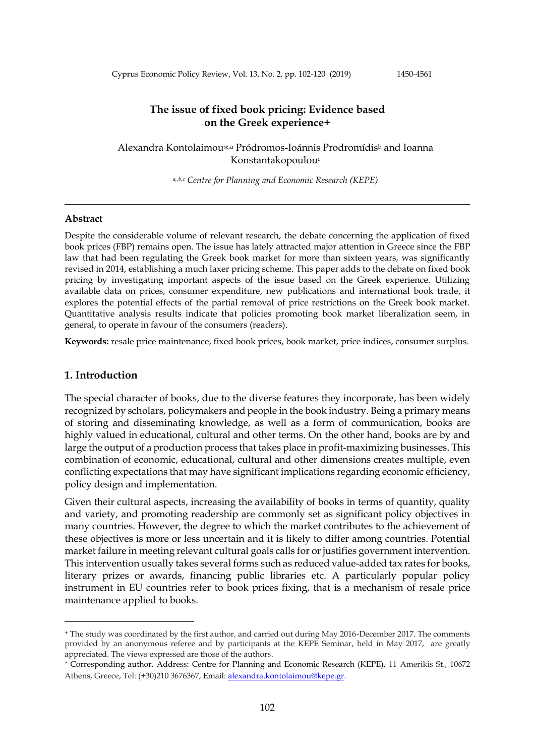Cyprus Economic Policy Review, Vol. 13, No. 2, pp. 102-120 (2019) 1450-4561

## **The issue of fixed book pricing: Evidence based on the Greek experience+**

Alexandra Kontolaimou\*<sup>,a</sup> Pródromos-Ioánnis Prodromídis<sup>b</sup> and Ioanna Konstantakopoulou<sup>c</sup>

*a,,b,c Centre for Planning and Economic Research (KEPE)*

#### **Abstract**

Despite the considerable volume of relevant research, the debate concerning the application of fixed book prices (FBP) remains open. The issue has lately attracted major attention in Greece since the FBP law that had been regulating the Greek book market for more than sixteen years, was significantly revised in 2014, establishing a much laxer pricing scheme. This paper adds to the debate on fixed book pricing by investigating important aspects of the issue based on the Greek experience. Utilizing available data on prices, consumer expenditure, new publications and international book trade, it explores the potential effects of the partial removal of price restrictions on the Greek book market. Quantitative analysis results indicate that policies promoting book market liberalization seem, in general, to operate in favour of the consumers (readers).

**Keywords:** resale price maintenance, fixed book prices, book market, price indices, consumer surplus.

### **1. Introduction**

-

The special character of books, due to the diverse features they incorporate, has been widely recognized by scholars, policymakers and people in the book industry. Being a primary means of storing and disseminating knowledge, as well as a form of communication, books are highly valued in educational, cultural and other terms. On the other hand, books are by and large the output of a production process that takes place in profit-maximizing businesses. This combination of economic, educational, cultural and other dimensions creates multiple, even conflicting expectations that may have significant implications regarding economic efficiency, policy design and implementation.

Given their cultural aspects, increasing the availability of books in terms of quantity, quality and variety, and promoting readership are commonly set as significant policy objectives in many countries. However, the degree to which the market contributes to the achievement of these objectives is more or less uncertain and it is likely to differ among countries. Potential market failure in meeting relevant cultural goals calls for or justifies government intervention. This intervention usually takes several forms such as reduced value-added tax rates for books, literary prizes or awards, financing public libraries etc. A particularly popular policy instrument in EU countries refer to book prices fixing, that is a mechanism of resale price maintenance applied to books.

<sup>+</sup> The study was coordinated by the first author, and carried out during May 2016-December 2017. The comments provided by an anonymous referee and by participants at the KEPE Seminar, held in May 2017, are greatly appreciated. The views expressed are those of the authors.

Corresponding author. Address: Centre for Planning and Economic Research (KEPE), 11 Amerikis St., 10672 Athens, Greece, Tel: (+30)210 3676367, Email[: alexandra.kontolaimou@kepe.gr.](mailto:alexandra.kontolaimou@kepe.gr)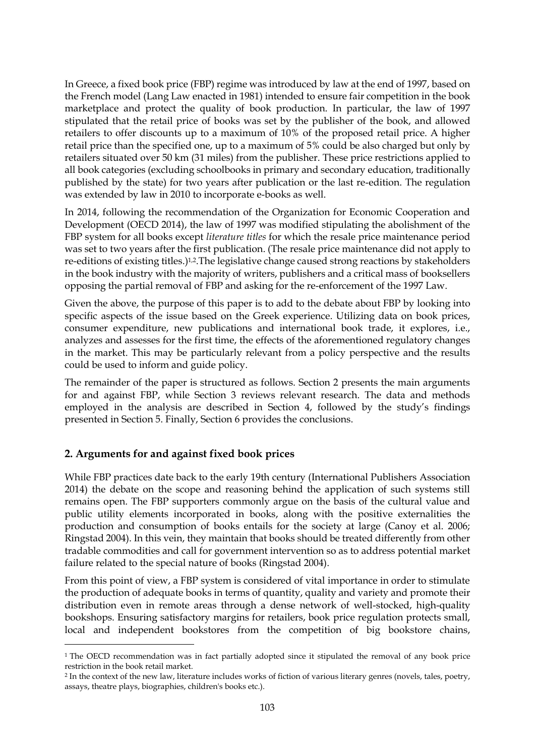In Greece, a fixed book price (FBP) regime was introduced by law at the end of 1997, based on the French model (Lang Law enacted in 1981) intended to ensure fair competition in the book marketplace and protect the quality of book production. In particular, the law of 1997 stipulated that the retail price of books was set by the publisher of the book, and allowed retailers to offer discounts up to a maximum of 10% of the proposed retail price. A higher retail price than the specified one, up to a maximum of 5% could be also charged but only by retailers situated over 50 km (31 miles) from the publisher. These price restrictions applied to all book categories (excluding schoolbooks in primary and secondary education, traditionally published by the state) for two years after publication or the last re-edition. The regulation was extended by law in 2010 to incorporate e-books as well.

In 2014, following the recommendation of the Organization for Economic Cooperation and Development (OECD 2014), the law of 1997 was modified stipulating the abolishment of the FBP system for all books except *literature titles* for which the resale price maintenance period was set to two years after the first publication. (The resale price maintenance did not apply to re-editions of existing titles.)<sup>1,2</sup>. The legislative change caused strong reactions by stakeholders in the book industry with the majority of writers, publishers and a critical mass of booksellers opposing the partial removal of FBP and asking for the re-enforcement of the 1997 Law.

Given the above, the purpose of this paper is to add to the debate about FBP by looking into specific aspects of the issue based on the Greek experience. Utilizing data on book prices, consumer expenditure, new publications and international book trade, it explores, i.e., analyzes and assesses for the first time, the effects of the aforementioned regulatory changes in the market. This may be particularly relevant from a policy perspective and the results could be used to inform and guide policy.

The remainder of the paper is structured as follows. Section 2 presents the main arguments for and against FBP, while Section 3 reviews relevant research. The data and methods employed in the analysis are described in Section 4, followed by the study's findings presented in Section 5. Finally, Section 6 provides the conclusions.

# **2. Arguments for and against fixed book prices**

<u>.</u>

While FBP practices date back to the early 19th century (International Publishers Association 2014) the debate on the scope and reasoning behind the application of such systems still remains open. The FBP supporters commonly argue on the basis of the cultural value and public utility elements incorporated in books, along with the positive externalities the production and consumption of books entails for the society at large (Canoy et al. 2006; Ringstad 2004). In this vein, they maintain that books should be treated differently from other tradable commodities and call for government intervention so as to address potential market failure related to the special nature of books (Ringstad 2004).

From this point of view, a FBP system is considered of vital importance in order to stimulate the production of adequate books in terms of quantity, quality and variety and promote their distribution even in remote areas through a dense network of well-stocked, high-quality bookshops. Ensuring satisfactory margins for retailers, book price regulation protects small, local and independent bookstores from the competition of big bookstore chains,

<sup>&</sup>lt;sup>1</sup> The OECD recommendation was in fact partially adopted since it stipulated the removal of any book price restriction in the book retail market.

<sup>2</sup> In the context of the new law, literature includes works of fiction of various literary genres (novels, tales, poetry, assays, theatre plays, biographies, children's books etc.).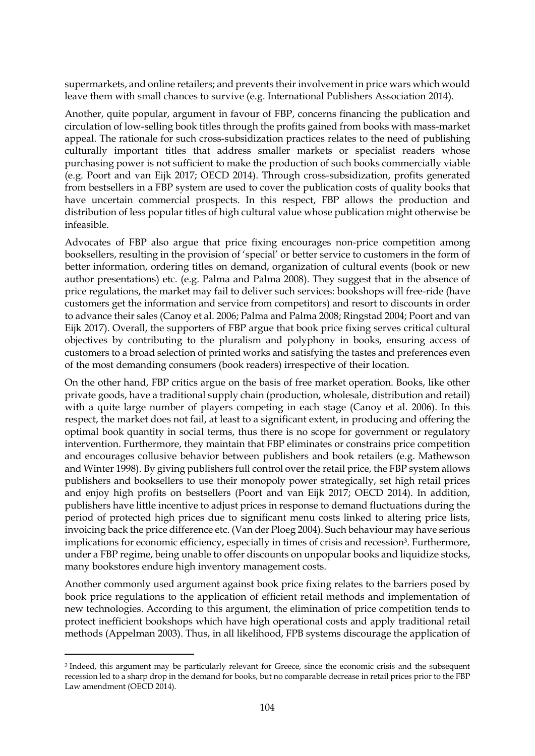supermarkets, and online retailers; and prevents their involvement in price wars which would leave them with small chances to survive (e.g. International Publishers Association 2014).

Another, quite popular, argument in favour of FBP, concerns financing the publication and circulation of low-selling book titles through the profits gained from books with mass-market appeal. The rationale for such cross-subsidization practices relates to the need of publishing culturally important titles that address smaller markets or specialist readers whose purchasing power is not sufficient to make the production of such books commercially viable (e.g. Poort and van Eijk 2017; OECD 2014). Through cross-subsidization, profits generated from bestsellers in a FBP system are used to cover the publication costs of quality books that have uncertain commercial prospects. In this respect, FBP allows the production and distribution of less popular titles of high cultural value whose publication might otherwise be infeasible.

Advocates of FBP also argue that price fixing encourages non-price competition among booksellers, resulting in the provision of 'special' or better service to customers in the form of better information, ordering titles on demand, organization of cultural events (book or new author presentations) etc. (e.g. Palma and Palma 2008). They suggest that in the absence of price regulations, the market may fail to deliver such services: bookshops will free-ride (have customers get the information and service from competitors) and resort to discounts in order to advance their sales (Canoy et al. 2006; Palma and Palma 2008; Ringstad 2004; Poort and van Eijk 2017). Overall, the supporters of FBP argue that book price fixing serves critical cultural objectives by contributing to the pluralism and polyphony in books, ensuring access of customers to a broad selection of printed works and satisfying the tastes and preferences even of the most demanding consumers (book readers) irrespective of their location.

On the other hand, FBP critics argue on the basis of free market operation. Books, like other private goods, have a traditional supply chain (production, wholesale, distribution and retail) with a quite large number of players competing in each stage (Canoy et al. 2006). In this respect, the market does not fail, at least to a significant extent, in producing and offering the optimal book quantity in social terms, thus there is no scope for government or regulatory intervention. Furthermore, they maintain that FBP eliminates or constrains price competition and encourages collusive behavior between publishers and book retailers (e.g. Mathewson and Winter 1998). By giving publishers full control over the retail price, the FBP system allows publishers and booksellers to use their monopoly power strategically, set high retail prices and enjoy high profits on bestsellers (Poort and van Eijk 2017; OECD 2014). In addition, publishers have little incentive to adjust prices in response to demand fluctuations during the period of protected high prices due to significant menu costs linked to altering price lists, invoicing back the price difference etc. (Van der Ploeg 2004). Such behaviour may have serious implications for economic efficiency, especially in times of crisis and recession<sup>3</sup>. Furthermore, under a FBP regime, being unable to offer discounts on unpopular books and liquidize stocks, many bookstores endure high inventory management costs.

Another commonly used argument against book price fixing relates to the barriers posed by book price regulations to the application of efficient retail methods and implementation of new technologies. According to this argument, the elimination of price competition tends to protect inefficient bookshops which have high operational costs and apply traditional retail methods (Appelman 2003). Thus, in all likelihood, FPB systems discourage the application of

-

<sup>3</sup> Indeed, this argument may be particularly relevant for Greece, since the economic crisis and the subsequent recession led to a sharp drop in the demand for books, but no comparable decrease in retail prices prior to the FBP Law amendment (OECD 2014).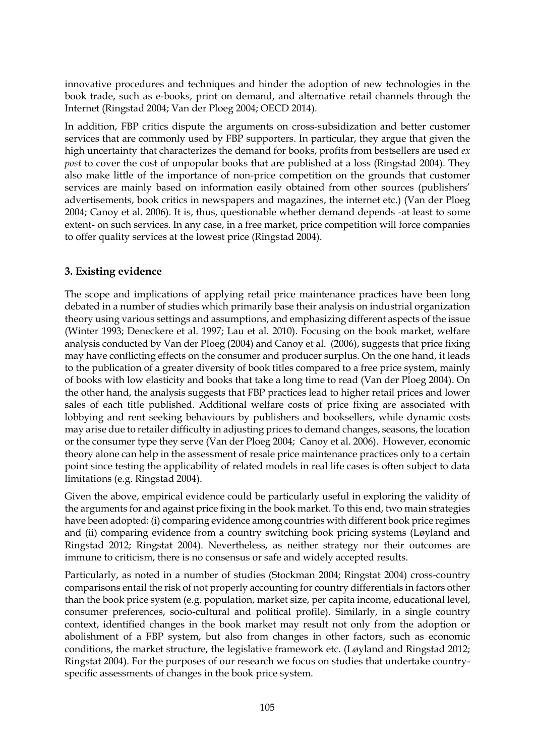innovative procedures and techniques and hinder the adoption of new technologies in the book trade, such as e-books, print on demand, and alternative retail channels through the Internet (Ringstad 2004; Van der Ploeg 2004; OECD 2014).

In addition, FBP critics dispute the arguments on cross-subsidization and better customer services that are commonly used by FBP supporters. In particular, they argue that given the high uncertainty that characterizes the demand for books, profits from bestsellers are used *ex post* to cover the cost of unpopular books that are published at a loss (Ringstad 2004). They also make little of the importance of non-price competition on the grounds that customer services are mainly based on information easily obtained from other sources (publishers' advertisements, book critics in newspapers and magazines, the internet etc.) (Van der Ploeg 2004; Canoy et al. 2006). It is, thus, questionable whether demand depends -at least to some extent- on such services. In any case, in a free market, price competition will force companies to offer quality services at the lowest price (Ringstad 2004).

# **3. Existing evidence**

The scope and implications of applying retail price maintenance practices have been long debated in a number of studies which primarily base their analysis on industrial organization theory using various settings and assumptions, and emphasizing different aspects of the issue (Winter 1993; Deneckere et al. 1997; Lau et al. 2010). Focusing on the book market, welfare analysis conducted by Van der Ploeg (2004) and Canoy et al. (2006), suggests that price fixing may have conflicting effects on the consumer and producer surplus. On the one hand, it leads to the publication of a greater diversity of book titles compared to a free price system, mainly of books with low elasticity and books that take a long time to read (Van der Ploeg 2004). On the other hand, the analysis suggests that FBP practices lead to higher retail prices and lower sales of each title published. Additional welfare costs of price fixing are associated with lobbying and rent seeking behaviours by publishers and booksellers, while dynamic costs may arise due to retailer difficulty in adjusting prices to demand changes, seasons, the location or the consumer type they serve (Van der Ploeg 2004; Canoy et al. 2006). However, economic theory alone can help in the assessment of resale price maintenance practices only to a certain point since testing the applicability of related models in real life cases is often subject to data limitations (e.g. Ringstad 2004).

Given the above, empirical evidence could be particularly useful in exploring the validity of the arguments for and against price fixing in the book market. To this end, two main strategies have been adopted: (i) comparing evidence among countries with different book price regimes and (ii) comparing evidence from a country switching book pricing systems (Løyland and Ringstad 2012; Ringstat 2004). Nevertheless, as neither strategy nor their outcomes are immune to criticism, there is no consensus or safe and widely accepted results.

Particularly, as noted in a number of studies (Stockman 2004; Ringstat 2004) cross-country comparisons entail the risk of not properly accounting for country differentials in factors other than the book price system (e.g. population, market size, per capita income, educational level, consumer preferences, socio-cultural and political profile). Similarly, in a single country context, identified changes in the book market may result not only from the adoption or abolishment of a FBP system, but also from changes in other factors, such as economic conditions, the market structure, the legislative framework etc. (Løyland and Ringstad 2012; Ringstat 2004). For the purposes of our research we focus on studies that undertake countryspecific assessments of changes in the book price system.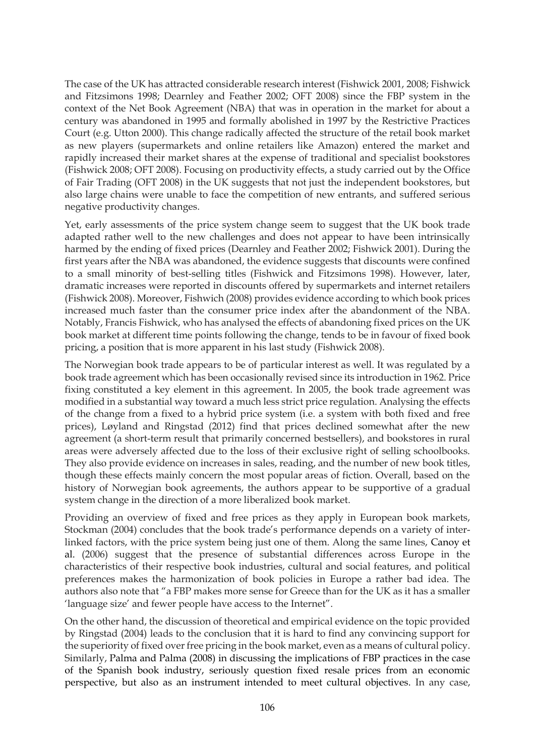The case of the UK has attracted considerable research interest (Fishwick 2001, 2008; Fishwick and Fitzsimons 1998; Dearnley and Feather 2002; OFT 2008) since the FBP system in the context of the Net Book Agreement (NBA) that was in operation in the market for about a century was abandoned in 1995 and formally abolished in 1997 by the Restrictive Practices Court (e.g. Utton 2000). This change radically affected the structure of the retail book market as new players (supermarkets and online retailers like Amazon) entered the market and rapidly increased their market shares at the expense of traditional and specialist bookstores (Fishwick 2008; OFT 2008). Focusing on productivity effects, a study carried out by the Office of Fair Trading (OFT 2008) in the UK suggests that not just the independent bookstores, but also large chains were unable to face the competition of new entrants, and suffered serious negative productivity changes.

Yet, early assessments of the price system change seem to suggest that the UK book trade adapted rather well to the new challenges and does not appear to have been intrinsically harmed by the ending of fixed prices (Dearnley and Feather 2002; Fishwick 2001). During the first years after the NBA was abandoned, the evidence suggests that discounts were confined to a small minority of best-selling titles (Fishwick and Fitzsimons 1998). However, later, dramatic increases were reported in discounts offered by supermarkets and internet retailers (Fishwick 2008). Moreover, Fishwich (2008) provides evidence according to which book prices increased much faster than the consumer price index after the abandonment of the NBA. Notably, Francis Fishwick, who has analysed the effects of abandoning fixed prices on the UK book market at different time points following the change, tends to be in favour of fixed book pricing, a position that is more apparent in his last study (Fishwick 2008).

The Norwegian book trade appears to be of particular interest as well. It was regulated by a book trade agreement which has been occasionally revised since its introduction in 1962. Price fixing constituted a key element in this agreement. In 2005, the book trade agreement was modified in a substantial way toward a much less strict price regulation. Analysing the effects of the change from a fixed to a hybrid price system (i.e. a system with both fixed and free prices), Løyland and Ringstad (2012) find that prices declined somewhat after the new agreement (a short-term result that primarily concerned bestsellers), and bookstores in rural areas were adversely affected due to the loss of their exclusive right of selling schoolbooks. They also provide evidence on increases in sales, reading, and the number of new book titles, though these effects mainly concern the most popular areas of fiction. Overall, based on the history of Norwegian book agreements, the authors appear to be supportive of a gradual system change in the direction of a more liberalized book market.

Providing an overview of fixed and free prices as they apply in European book markets, Stockman (2004) concludes that the book trade's performance depends on a variety of interlinked factors, with the price system being just one of them. Along the same lines, Canoy et al. (2006) suggest that the presence of substantial differences across Europe in the characteristics of their respective book industries, cultural and social features, and political preferences makes the harmonization of book policies in Europe a rather bad idea. The authors also note that "a FBP makes more sense for Greece than for the UK as it has a smaller 'language size' and fewer people have access to the Internet".

On the other hand, the discussion of theoretical and empirical evidence on the topic provided by Ringstad (2004) leads to the conclusion that it is hard to find any convincing support for the superiority of fixed over free pricing in the book market, even as a means of cultural policy. Similarly, Palma and Palma (2008) in discussing the implications of FBP practices in the case of the Spanish book industry, seriously question fixed resale prices from an economic perspective, but also as an instrument intended to meet cultural objectives. In any case,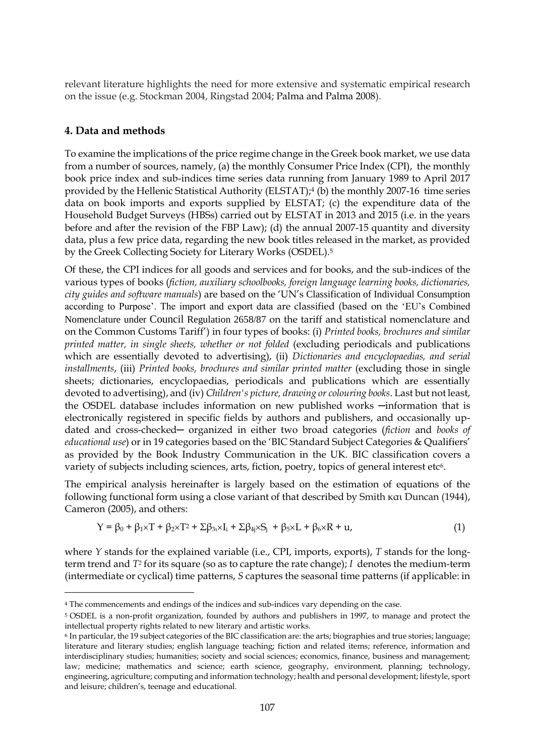relevant literature highlights the need for more extensive and systematic empirical research on the issue (e.g. Stockman 2004, Ringstad 2004; Palma and Palma 2008).

## **4. Data and methods**

<u>.</u>

To examine the implications of the price regime change in the Greek book market, we use data from a number of sources, namely, (a) the monthly Consumer Price Index (CPI), the monthly book price index and sub-indices time series data running from January 1989 to April 2017 provided by the Hellenic Statistical Authority (ELSTAT);<sup>4</sup> (b) the monthly 2007-16 time series data on book imports and exports supplied by ELSTAT; (c) the expenditure data of the Household Budget Surveys (HBSs) carried out by ELSTAT in 2013 and 2015 (i.e. in the years before and after the revision of the FBP Law); (d) the annual 2007-15 quantity and diversity data, plus a few price data, regarding the new book titles released in the market, as provided by the Greek Collecting Society for Literary Works (OSDEL).<sup>5</sup>

Of these, the CPI indices for all goods and services and for books, and the sub-indices of the various types of books (*fiction, auxiliary schoolbooks, foreign language learning books, dictionaries, city guides and software manuals*) are based on the 'UN's Classification of Individual Consumption according to Purpose'. The import and export data are classified (based on the 'EU's Combined Nomenclature under Council Regulation 2658/87 on the tariff and statistical nomenclature and on the Common Customs Tariff') in four types of books: (i) *Printed books, brochures and similar printed matter, in single sheets, whether or not folded* (excluding periodicals and publications which are essentially devoted to advertising), (ii) *Dictionaries and encyclopaedias, and serial installments*, (iii) *Printed books, brochures and similar printed matter* (excluding those in single sheets; dictionaries, encyclopaedias, periodicals and publications which are essentially devoted to advertising), and (iv) *Children's picture, drawing or colouring books*. Last but not least, the OSDEL database includes information on new published works -information that is electronically registered in specific fields by authors and publishers, and occasionally updated and cross-checked─ organized in either two broad categories (*fiction* and *books of educational use*) or in 19 categories based on the 'BIC Standard Subject Categories & Qualifiers' as provided by the Book Industry Communication in the UK. BIC classification covers a variety of subjects including sciences, arts, fiction, poetry, topics of general interest etc<sup>6</sup>.

The empirical analysis hereinafter is largely based on the estimation of equations of the following functional form using a close variant of that described by Smith και Duncan (1944), Cameron (2005), and others:

$$
Y = \beta_0 + \beta_1 \times T + \beta_2 \times T^2 + \Sigma \beta_{3t} \times I_i + \Sigma \beta_{4j} \times S_j + \beta_5 \times L + \beta_6 \times R + u,\tag{1}
$$

where *Y* stands for the explained variable (i.e., CPI, imports, exports), *T* stands for the longterm trend and *T<sup>2</sup>* for its square (so as to capture the rate change); *I* denotes the medium-term (intermediate or cyclical) time patterns, *S* captures the seasonal time patterns (if applicable: in

<sup>4</sup> The commencements and endings of the indices and sub-indices vary depending on the case.

<sup>5</sup> OSDEL is a non-profit organization, founded by authors and publishers in 1997, to manage and protect the intellectual property rights related to new literary and artistic works.

<sup>6</sup> In particular, the 19 subject categories of the BIC classification are: the arts; biographies and true stories; language; literature and literary studies; english language teaching; fiction and related items; reference, information and interdisciplinary studies; humanities; society and social sciences; economics, finance, business and management; law; medicine; mathematics and science; earth science, geography, environment, planning; technology, engineering, agriculture; computing and information technology; health and personal development; lifestyle, sport and leisure; children's, teenage and educational.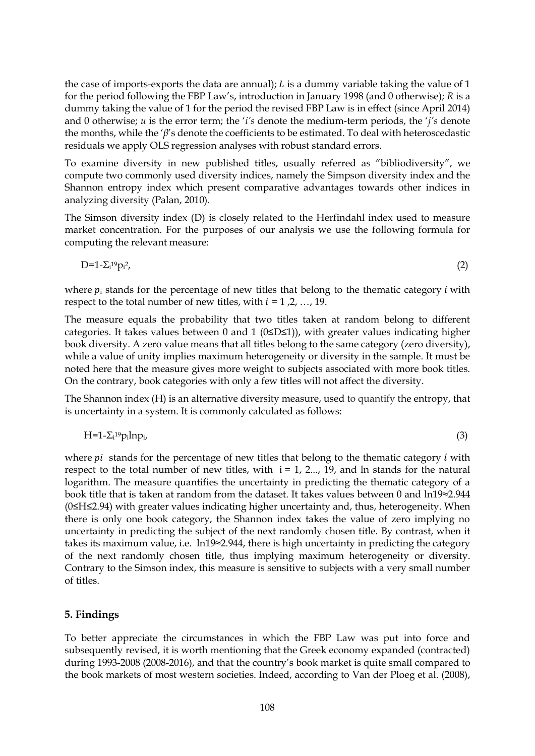the case of imports-exports the data are annual);  $L$  is a dummy variable taking the value of 1 for the period following the FBP Law's, introduction in January 1998 (and 0 otherwise); *R* is a dummy taking the value of 1 for the period the revised FBP Law is in effect (since April 2014) and 0 otherwise; *u* is the error term; the '*i's* denote the medium-term periods, the '*j's* denote the months, while the '*β*'s denote the coefficients to be estimated. To deal with heteroscedastic residuals we apply OLS regression analyses with robust standard errors.

To examine diversity in new published titles, usually referred as "bibliodiversity", we compute two commonly used diversity indices, namely the Simpson diversity index and the Shannon entropy index which present comparative advantages towards other indices in analyzing diversity (Palan, 2010).

The Simson diversity index (D) is closely related to the [Herfindahl index](https://en.wikipedia.org/wiki/Herfindahl_index) used to measure market concentration. For the purposes of our analysis we use the following formula for computing the relevant measure:

$$
D=1-\sum_{i}^{19}p_i^2,\tag{2}
$$

where  $p_i$  stands for the percentage of new titles that belong to the thematic category *i* with respect to the total number of new titles, with  $i = 1, 2, ..., 19$ .

The measure equals the probability that two titles taken at random belong to different categories. It takes values between 0 and 1 (0≤D≤1)), with greater values indicating higher book diversity. A zero value means that all titles belong to the same category (zero diversity), while a value of unity implies maximum heterogeneity or diversity in the sample. It must be noted here that the measure gives more weight to subjects associated with more book titles. On the contrary, book categories with only a few titles will not affect the diversity.

The Shannon index (H) is an alternative diversity measure, used to quantify the [entropy,](https://en.wikipedia.org/wiki/Entropy_(information_theory)) that is uncertainty in a system. It is commonly calculated as follows:

$$
H=1-\sum_{i}^{19}p_{i}lnp_{i}, \qquad (3)
$$

where  $pi$  stands for the percentage of new titles that belong to the thematic category  $i$  with respect to the total number of new titles, with  $i = 1, 2...$ , 19, and ln stands for the natural logarithm. The measure quantifies the uncertainty in predicting the thematic category of a book title that is taken at random from the dataset. It takes values between 0 and ln19≈2.944 (0≤H≤2.94) with greater values indicating higher uncertainty and, thus, heterogeneity. When there is only one book category, the Shannon index takes the value of zero implying no uncertainty in predicting the subject of the next randomly chosen title. By contrast, when it takes its maximum value, i.e. ln19≈2.944, there is high uncertainty in predicting the category of the next randomly chosen title, thus implying maximum heterogeneity or diversity. Contrary to the Simson index, this measure is sensitive to subjects with a very small number of titles.

## **5. Findings**

To better appreciate the circumstances in which the FBP Law was put into force and subsequently revised, it is worth mentioning that the Greek economy expanded (contracted) during 1993-2008 (2008-2016), and that the country's book market is quite small compared to the book markets of most western societies. Indeed, according to Van der Ploeg et al. (2008),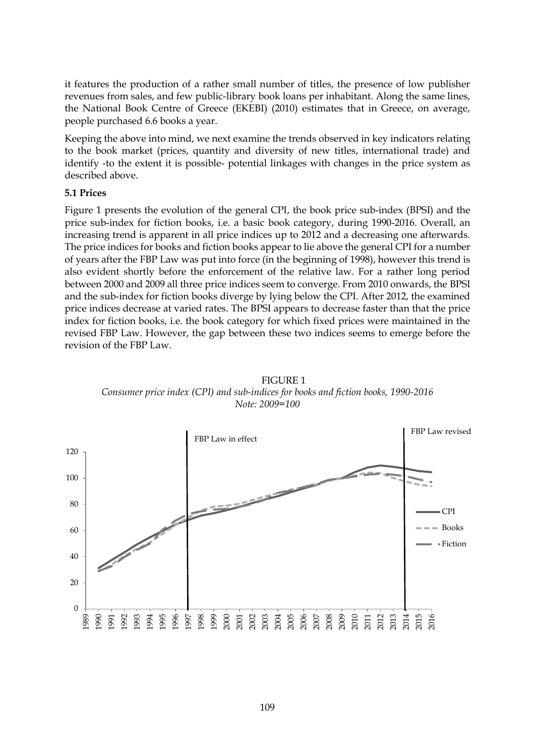it features the production of a rather small number of titles, the presence of low publisher revenues from sales, and few public-library book loans per inhabitant. Along the same lines, the National Book Centre of Greece (EKEBI) (2010) estimates that in Greece, on average, people purchased 6.6 books a year.

Keeping the above into mind, we next examine the trends observed in key indicators relating to the book market (prices, quantity and diversity of new titles, international trade) and identify -to the extent it is possible- potential linkages with changes in the price system as described above.

### **5.1 Prices**

Figure 1 presents the evolution of the general CPI, the book price sub-index (BPSI) and the price sub-index for fiction books, i.e. a basic book category, during 1990-2016. Overall, an increasing trend is apparent in all price indices up to 2012 and a decreasing one afterwards. The price indices for books and fiction books appear to lie above the general CPI for a number of years after the FBP Law was put into force (in the beginning of 1998), however this trend is also evident shortly before the enforcement of the relative law. For a rather long period between 2000 and 2009 all three price indices seem to converge. From 2010 onwards, the BPSI and the sub-index for fiction books diverge by lying below the CPI. After 2012, the examined price indices decrease at varied rates. The BPSI appears to decrease faster than that the price index for fiction books, i.e. the book category for which fixed prices were maintained in the revised FBP Law. However, the gap between these two indices seems to emerge before the revision of the FBP Law.



FIGURE 1 *Consumer price index (CPI) and sub-indices for books and fiction books, 1990-2016 Note: 2009=100*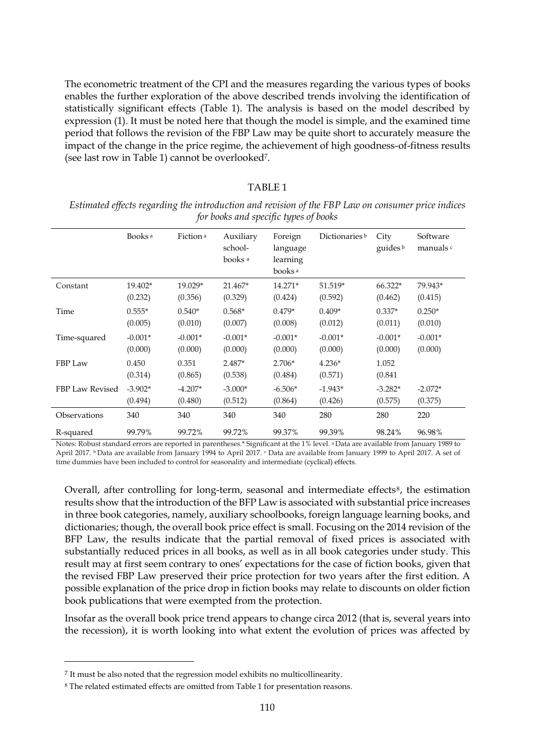The econometric treatment of the CPI and the measures regarding the various types of books enables the further exploration of the above described trends involving the identification of statistically significant effects (Table 1). The analysis is based on the model described by expression (1). It must be noted here that though the model is simple, and the examined time period that follows the revision of the FBP Law may be quite short to accurately measure the impact of the change in the price regime, the achievement of high goodness-of-fitness results (see last row in Table 1) cannot be overlooked7.

#### TABLE 1

| for cooks and openfie egped of cooks |                      |                      |                                            |                                                       |                           |                             |                       |
|--------------------------------------|----------------------|----------------------|--------------------------------------------|-------------------------------------------------------|---------------------------|-----------------------------|-----------------------|
|                                      | Books <sup>a</sup>   | Fiction <sup>a</sup> | Auxiliary<br>school-<br>books <sup>a</sup> | Foreign<br>language<br>learning<br>books <sup>a</sup> | Dictionaries <sup>b</sup> | City<br>guides <sup>b</sup> | Software<br>manuals c |
| Constant                             | 19.402*<br>(0.232)   | 19.029*<br>(0.356)   | 21.467*<br>(0.329)                         | 14.271*<br>(0.424)                                    | 51.519*<br>(0.592)        | 66.322*<br>(0.462)          | 79.943*<br>(0.415)    |
| Time                                 | $0.555*$<br>(0.005)  | $0.540*$<br>(0.010)  | $0.568*$<br>(0.007)                        | $0.479*$<br>(0.008)                                   | $0.409*$<br>(0.012)       | $0.337*$<br>(0.011)         | $0.250*$<br>(0.010)   |
| Time-squared                         | $-0.001*$<br>(0.000) | $-0.001*$<br>(0.000) | $-0.001*$<br>(0.000)                       | $-0.001*$<br>(0.000)                                  | $-0.001*$<br>(0.000)      | $-0.001*$<br>(0.000)        | $-0.001*$<br>(0.000)  |
| FBP Law                              | 0.450<br>(0.314)     | 0.351<br>(0.865)     | $2.487*$<br>(0.538)                        | $2.706*$<br>(0.484)                                   | $4.236*$<br>(0.571)       | 1.052<br>(0.841)            |                       |
| FBP Law Revised                      | $-3.902*$<br>(0.494) | $-4.207*$<br>(0.480) | $-3.000*$<br>(0.512)                       | $-6.506*$<br>(0.864)                                  | $-1.943*$<br>(0.426)      | $-3.282*$<br>(0.575)        | $-2.072*$<br>(0.375)  |
| Observations                         | 340                  | 340                  | 340                                        | 340                                                   | 280                       | 280                         | 220                   |
| R-squared                            | 99.79%               | 99.72%               | 99.72%                                     | 99.37%                                                | 99.39%                    | 98.24%                      | 96.98%                |

*Estimated effects regarding the introduction and revision of the FBP Law on consumer price indices for books and specific types of books*

Notes: Robust standard errors are reported in parentheses.\* Significant at the 1% level. a Data are available from January 1989 to April 2017. b Data are available from January 1994 to April 2017. <sup>c</sup> Data are available from January 1999 to April 2017. A set of time dummies have been included to control for seasonality and intermediate (cyclical) effects.

Overall, after controlling for long-term, seasonal and intermediate effects<sup>8</sup>, the estimation results show that the introduction of the BFP Law is associated with substantial price increases in three book categories, namely, auxiliary schoolbooks, foreign language learning books, and dictionaries; though, the overall book price effect is small. Focusing on the 2014 revision of the BFP Law, the results indicate that the partial removal of fixed prices is associated with substantially reduced prices in all books, as well as in all book categories under study. This result may at first seem contrary to ones' expectations for the case of fiction books, given that the revised FBP Law preserved their price protection for two years after the first edition. A possible explanation of the price drop in fiction books may relate to discounts on older fiction book publications that were exempted from the protection.

Insofar as the overall book price trend appears to change circa 2012 (that is, several years into the recession), it is worth looking into what extent the evolution of prices was affected by

-

<sup>&</sup>lt;sup>7</sup> It must be also noted that the regression model exhibits no multicollinearity.

<sup>8</sup> The related estimated effects are omitted from Table 1 for presentation reasons.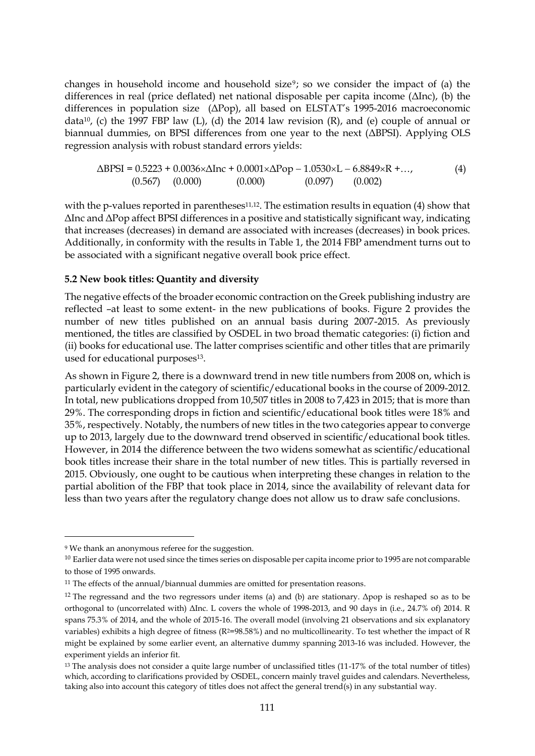changes in household income and household size<sup>9</sup>; so we consider the impact of (a) the differences in real (price deflated) net national disposable per capita income (ΔΙnc), (b) the differences in population size (ΔPop), all based on ELSTAT's 1995-2016 macroeconomic data<sup>10</sup>, (c) the 1997 FBP law (L), (d) the 2014 law revision (R), and (e) couple of annual or biannual dummies, on BPSI differences from one year to the next (ΔBPSI). Applying OLS regression analysis with robust standard errors yields:

$$
\Delta BPSI = 0.5223 + 0.0036 \times \Delta Inc + 0.0001 \times \Delta Pop - 1.0530 \times L - 6.8849 \times R + ...,
$$
\n(4)\n(0.567) (0.000) (0.000) (0.097) (0.002)

with the p-values reported in parentheses<sup>11,12</sup>. The estimation results in equation  $(4)$  show that ΔΙnc and ΔPop affect BPSI differences in a positive and statistically significant way, indicating that increases (decreases) in demand are associated with increases (decreases) in book prices. Additionally, in conformity with the results in Table 1, the 2014 FBP amendment turns out to be associated with a significant negative overall book price effect.

### **5.2 New book titles: Quantity and diversity**

The negative effects of the broader economic contraction on the Greek publishing industry are reflected –at least to some extent- in the new publications of books. Figure 2 provides the number of new titles published on an annual basis during 2007-2015. As previously mentioned, the titles are classified by OSDEL in two broad thematic categories: (i) fiction and (ii) books for educational use. The latter comprises scientific and other titles that are primarily used for educational purposes<sup>13</sup>.

As shown in Figure 2, there is a downward trend in new title numbers from 2008 on, which is particularly evident in the category of scientific/educational books in the course of 2009-2012. In total, new publications dropped from 10,507 titles in 2008 to 7,423 in 2015; that is more than 29%. The corresponding drops in fiction and scientific/educational book titles were 18% and 35%, respectively. Notably, the numbers of new titles in the two categories appear to converge up to 2013, largely due to the downward trend observed in scientific/educational book titles. However, in 2014 the difference between the two widens somewhat as scientific/educational book titles increase their share in the total number of new titles. This is partially reversed in 2015. Obviously, one ought to be cautious when interpreting these changes in relation to the partial abolition of the FBP that took place in 2014, since the availability of relevant data for less than two years after the regulatory change does not allow us to draw safe conclusions.

-

<sup>9</sup> We thank an anonymous referee for the suggestion.

<sup>&</sup>lt;sup>10</sup> Earlier data were not used since the times series on disposable per capita income prior to 1995 are not comparable to those of 1995 onwards.

<sup>&</sup>lt;sup>11</sup> The effects of the annual/biannual dummies are omitted for presentation reasons.

<sup>&</sup>lt;sup>12</sup> The regressand and the two regressors under items (a) and (b) are stationary. Δpop is reshaped so as to be orthogonal to (uncorrelated with) ΔΙnc. L covers the whole of 1998-2013, and 90 days in (i.e., 24.7% of) 2014. R spans 75.3% of 2014, and the whole of 2015-16. The overall model (involving 21 observations and six explanatory variables) exhibits a high degree of fitness ( $R^2=98.58%$ ) and no multicollinearity. To test whether the impact of R might be explained by some earlier event, an alternative dummy spanning 2013-16 was included. However, the experiment yields an inferior fit.

<sup>&</sup>lt;sup>13</sup> The analysis does not consider a quite large number of unclassified titles (11-17% of the total number of titles) which, according to clarifications provided by OSDEL, concern mainly travel guides and calendars. Nevertheless, taking also into account this category of titles does not affect the general trend(s) in any substantial way.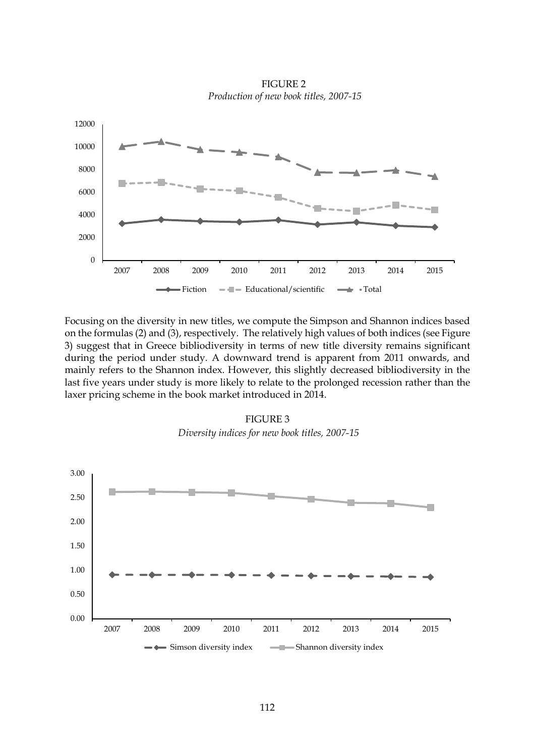

FIGURE 2 *Production of new book titles, 2007-15* 

Focusing on the diversity in new titles, we compute the Simpson and Shannon indices based on the formulas (2) and (3), respectively. The relatively high values of both indices (see Figure 3) suggest that in Greece bibliodiversity in terms of new title diversity remains significant during the period under study. A downward trend is apparent from 2011 onwards, and mainly refers to the Shannon index. However, this slightly decreased bibliodiversity in the last five years under study is more likely to relate to the prolonged recession rather than the laxer pricing scheme in the book market introduced in 2014.



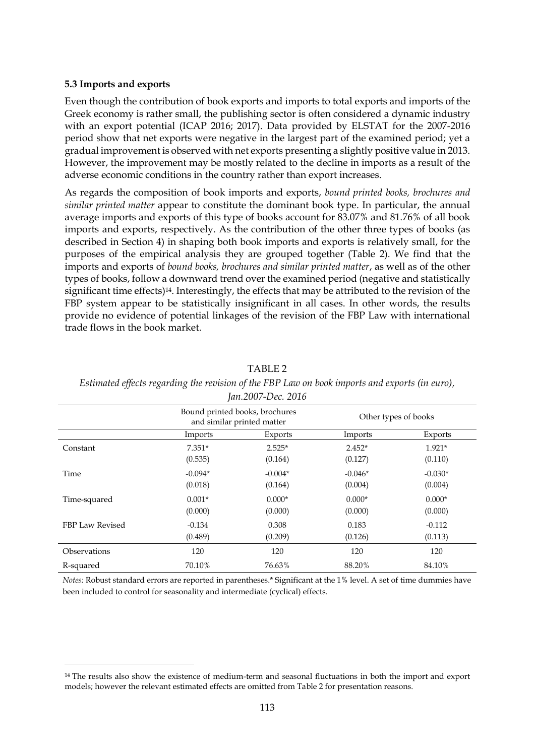### **5.3 Imports and exports**

-

Even though the contribution of book exports and imports to total exports and imports of the Greek economy is rather small, the publishing sector is often considered a dynamic industry with an export potential (ICAP 2016; 2017). Data provided by ELSTAT for the 2007-2016 period show that net exports were negative in the largest part of the examined period; yet a gradual improvement is observed with net exports presenting a slightly positive value in 2013. However, the improvement may be mostly related to the decline in imports as a result of the adverse economic conditions in the country rather than export increases.

As regards the composition of book imports and exports, *bound printed books, brochures and similar printed matter* appear to constitute the dominant book type. In particular, the annual average imports and exports of this type of books account for 83.07% and 81.76% of all book imports and exports, respectively. As the contribution of the other three types of books (as described in Section 4) in shaping both book imports and exports is relatively small, for the purposes of the empirical analysis they are grouped together (Table 2). We find that the imports and exports of *bound books, brochures and similar printed matter*, as well as of the other types of books, follow a downward trend over the examined period (negative and statistically significant time effects)14. Interestingly, the effects that may be attributed to the revision of the FBP system appear to be statistically insignificant in all cases. In other words, the results provide no evidence of potential linkages of the revision of the FBP Law with international trade flows in the book market.

|                 | $\overline{\phantom{a}}$                                     |           |                      |           |
|-----------------|--------------------------------------------------------------|-----------|----------------------|-----------|
|                 | Bound printed books, brochures<br>and similar printed matter |           | Other types of books |           |
|                 | Imports                                                      | Exports   | Imports              | Exports   |
| Constant        | $7.351*$                                                     | $2.525*$  | $2.452*$             | $1.921*$  |
|                 | (0.535)                                                      | (0.164)   | (0.127)              | (0.110)   |
| Time            | $-0.094*$                                                    | $-0.004*$ | $-0.046*$            | $-0.030*$ |
|                 | (0.018)                                                      | (0.164)   | (0.004)              | (0.004)   |
| Time-squared    | $0.001*$                                                     | $0.000*$  | $0.000*$             | $0.000*$  |
|                 | (0.000)                                                      | (0.000)   | (0.000)              | (0.000)   |
| FBP Law Revised | $-0.134$                                                     | 0.308     | 0.183                | $-0.112$  |
|                 | (0.489)                                                      | (0.209)   | (0.126)              | (0.113)   |
| Observations    | 120                                                          | 120       | 120                  | 120       |
| R-squared       | 70.10%                                                       | 76.63%    | 88.20%               | 84.10%    |

TABLE 2

*Estimated effects regarding the revision of the FBP Law on book imports and exports (in euro), Jan.2007-Dec. 2016*

*Notes:* Robust standard errors are reported in parentheses.\* Significant at the 1% level. A set of time dummies have been included to control for seasonality and intermediate (cyclical) effects.

<sup>14</sup> The results also show the existence of medium-term and seasonal fluctuations in both the import and export models; however the relevant estimated effects are omitted from Table 2 for presentation reasons.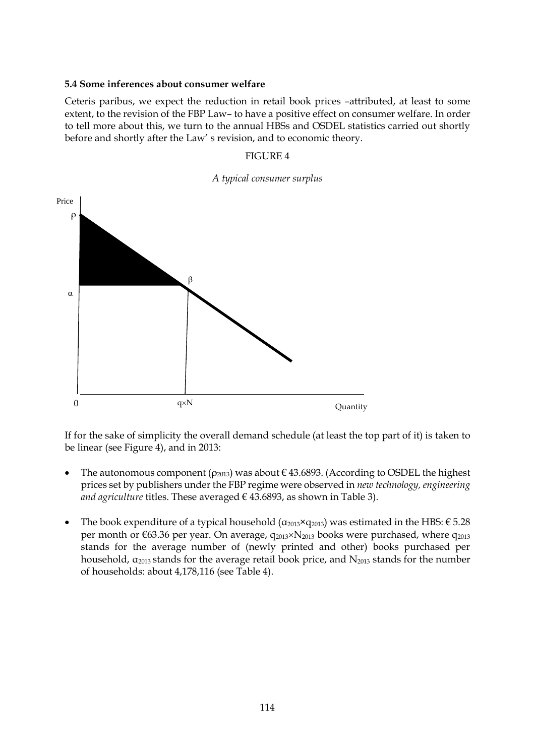### **5.4 Some inferences about consumer welfare**

Ceteris paribus, we expect the reduction in retail book prices –attributed, at least to some extent, to the revision of the FBP Law– to have a positive effect on consumer welfare. In order to tell more about this, we turn to the annual HBSs and OSDEL statistics carried out shortly before and shortly after the Law' s revision, and to economic theory.

### FIGURE 4





If for the sake of simplicity the overall demand schedule (at least the top part of it) is taken to be linear (see Figure 4), and in 2013:

- The autonomous component ( $\rho_{2013}$ ) was about  $\epsilon$  43.6893. (According to OSDEL the highest prices set by publishers under the FBP regime were observed in *new technology, engineering and agriculture* titles. These averaged  $\epsilon$  43.6893, as shown in Table 3).
- The book expenditure of a typical household ( $\alpha_{2013}$ × $q_{2013}$ ) was estimated in the HBS: € 5.28 per month or  $\epsilon$ 63.36 per year. On average,  $q_{2013} \times N_{2013}$  books were purchased, where  $q_{2013}$ stands for the average number of (newly printed and other) books purchased per household,  $\alpha_{2013}$  stands for the average retail book price, and  $N_{2013}$  stands for the number of households: about 4,178,116 (see Table 4).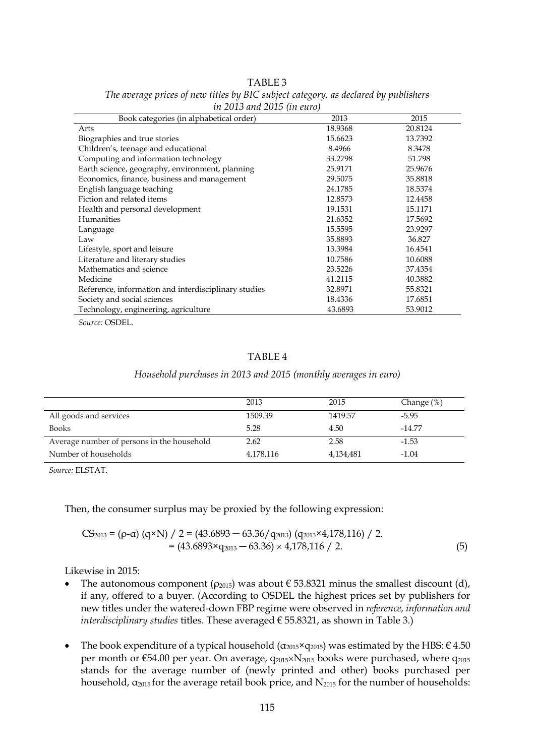|--|

| in 2015 unu 2015 (in euro)                           |         |         |  |  |  |
|------------------------------------------------------|---------|---------|--|--|--|
| Book categories (in alphabetical order)              | 2013    | 2015    |  |  |  |
| Arts                                                 | 18.9368 | 20.8124 |  |  |  |
| Biographies and true stories                         | 15.6623 | 13.7392 |  |  |  |
| Children's, teenage and educational                  | 8.4966  | 8.3478  |  |  |  |
| Computing and information technology                 | 33.2798 | 51.798  |  |  |  |
| Earth science, geography, environment, planning      | 25.9171 | 25.9676 |  |  |  |
| Economics, finance, business and management          | 29.5075 | 35.8818 |  |  |  |
| English language teaching                            | 24.1785 | 18.5374 |  |  |  |
| Fiction and related items                            | 12.8573 | 12.4458 |  |  |  |
| Health and personal development                      | 19.1531 | 15.1171 |  |  |  |
| Humanities                                           | 21.6352 | 17.5692 |  |  |  |
| Language                                             | 15.5595 | 23.9297 |  |  |  |
| Law                                                  | 35.8893 | 36.827  |  |  |  |
| Lifestyle, sport and leisure                         | 13.3984 | 16.4541 |  |  |  |
| Literature and literary studies                      | 10.7586 | 10.6088 |  |  |  |
| Mathematics and science                              | 23.5226 | 37.4354 |  |  |  |
| Medicine                                             | 41.2115 | 40.3882 |  |  |  |
| Reference, information and interdisciplinary studies | 32.8971 | 55.8321 |  |  |  |
| Society and social sciences                          | 18.4336 | 17.6851 |  |  |  |
| Technology, engineering, agriculture                 | 43.6893 | 53.9012 |  |  |  |
| $\alpha$ $\alpha$                                    |         |         |  |  |  |

*The average prices of new titles by BIC subject category, as declared by publishers in 2013 and 2015 (in euro)*

*Source:* OSDEL.

# TABLE 4

#### *Household purchases in 2013 and 2015 (monthly averages in euro)*

|                                            | 2013      | 2015      | Change $(\%)$ |
|--------------------------------------------|-----------|-----------|---------------|
| All goods and services                     | 1509.39   | 1419.57   | $-5.95$       |
| <b>Books</b>                               | 5.28      | 4.50      | $-14.77$      |
| Average number of persons in the household | 2.62      | 2.58      | $-1.53$       |
| Number of households                       | 4,178,116 | 4,134,481 | $-1.04$       |

*Source:* ELSTAT.

Then, the consumer surplus may be proxied by the following expression:

$$
CS_{2013} = (\rho - \alpha) (q \times N) / 2 = (43.6893 - 63.36 / q_{2013}) (q_{2013} \times 4,178,116) / 2.
$$
  
= (43.6893×q<sub>2013</sub> - 63.36) × 4,178,116 / 2. (5)

Likewise in 2015:

- The autonomous component ( $\rho_{2015}$ ) was about  $\epsilon$  53.8321 minus the smallest discount (d), if any, offered to a buyer. (According to OSDEL the highest prices set by publishers for new titles under the watered-down FBP regime were observed in *reference, information and interdisciplinary studies* titles. These averaged  $\epsilon$  55.8321, as shown in Table 3.)
- The book expenditure of a typical household ( $\alpha_{2015} \times q_{2015}$ ) was estimated by the HBS:  $\epsilon$  4.50 per month or  $\epsilon$ 54.00 per year. On average,  $q_{2015} \times N_{2015}$  books were purchased, where  $q_{2015}$ stands for the average number of (newly printed and other) books purchased per household,  $\alpha_{2015}$  for the average retail book price, and  $N_{2015}$  for the number of households: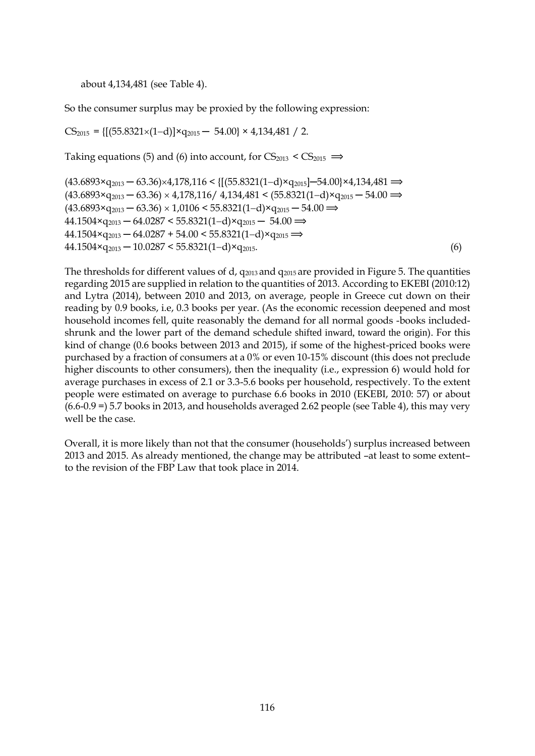about 4,134,481 (see Table 4).

So the consumer surplus may be proxied by the following expression:

 $CS_{2015} = \{[(55.8321 \times (1-d)] \times q_{2015} - 54.00] \times 4,134,481 / 2.$ 

Taking equations (5) and (6) into account, for  $CS_{2013} < CS_{2015} \implies$ 

 $(43.6893 \times q_{2013} - 63.36) \times 4,178,116 \leq \{[(55.8321(1-d) \times q_{2015}] - 54.00 \times 4,134,481 \implies$  $(43.6893 \times q_{2013} - 63.36) \times 4,178,116/4,134,481 \leq (55.8321(1-d) \times q_{2015} - 54.00 \implies$  $(43.6893 \times q_{2013} - 63.36) \times 1,0106 \leq 55.8321(1-d) \times q_{2015} - 54.00 \implies$  $44.1504 \times q_{2013} - 64.0287 \leq 55.8321(1-d) \times q_{2015} - 54.00 \implies$  $44.1504 \times q_{2013} - 64.0287 + 54.00 \leq 55.8321(1-d) \times q_{2015} \implies$  $44.1504 \times q_{2013} - 10.0287 \leq 55.8321(1-d) \times q_{2015}$ . (6)

The thresholds for different values of d,  $q_{2013}$  and  $q_{2015}$  are provided in Figure 5. The quantities regarding 2015 are supplied in relation to the quantities of 2013. According to EKEBI (2010:12) and Lytra (2014), between 2010 and 2013, on average, people in Greece cut down on their reading by 0.9 books, i.e, 0.3 books per year. (As the economic recession deepened and most household incomes fell, quite reasonably the demand for all normal goods -books includedshrunk and the lower part of the demand schedule shifted inward, toward the origin). For this kind of change (0.6 books between 2013 and 2015), if some of the highest-priced books were purchased by a fraction of consumers at a 0% or even 10-15% discount (this does not preclude higher discounts to other consumers), then the inequality (i.e., expression 6) would hold for average purchases in excess of 2.1 or 3.3-5.6 books per household, respectively. To the extent people were estimated on average to purchase 6.6 books in 2010 (EKEBI, 2010: 57) or about (6.6-0.9 =) 5.7 books in 2013, and households averaged 2.62 people (see Table 4), this may very well be the case.

Overall, it is more likely than not that the consumer (households') surplus increased between 2013 and 2015. As already mentioned, the change may be attributed –at least to some extent– to the revision of the FBP Law that took place in 2014.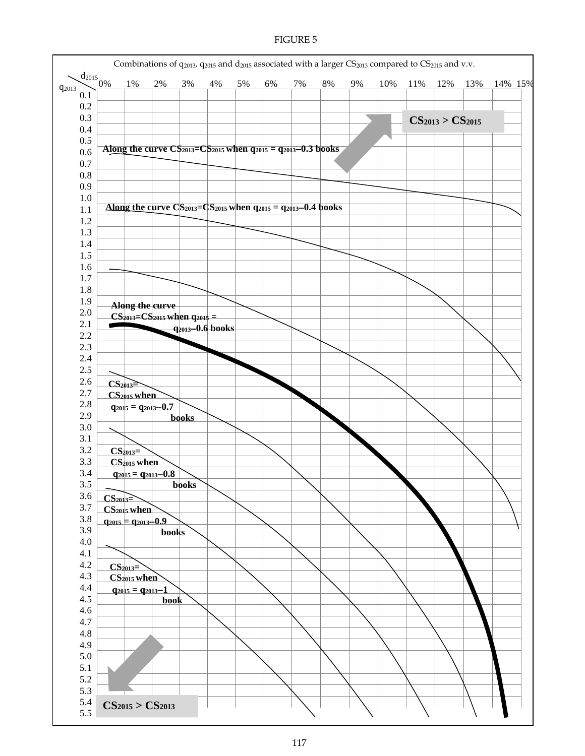#### FIGURE 5

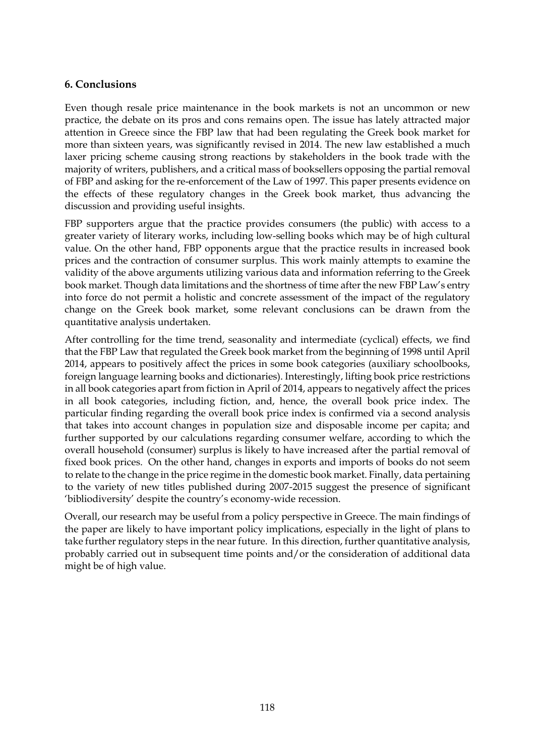# **6. Conclusions**

Even though resale price maintenance in the book markets is not an uncommon or new practice, the debate on its pros and cons remains open. The issue has lately attracted major attention in Greece since the FBP law that had been regulating the Greek book market for more than sixteen years, was significantly revised in 2014. The new law established a much laxer pricing scheme causing strong reactions by stakeholders in the book trade with the majority of writers, publishers, and a critical mass of booksellers opposing the partial removal of FBP and asking for the re-enforcement of the Law of 1997. This paper presents evidence on the effects of these regulatory changes in the Greek book market, thus advancing the discussion and providing useful insights.

FBP supporters argue that the practice provides consumers (the public) with access to a greater variety of literary works, including low-selling books which may be of high cultural value. On the other hand, FBP opponents argue that the practice results in increased book prices and the contraction of consumer surplus. This work mainly attempts to examine the validity of the above arguments utilizing various data and information referring to the Greek book market. Though data limitations and the shortness of time after the new FBP Law's entry into force do not permit a holistic and concrete assessment of the impact of the regulatory change on the Greek book market, some relevant conclusions can be drawn from the quantitative analysis undertaken.

After controlling for the time trend, seasonality and intermediate (cyclical) effects, we find that the FBP Law that regulated the Greek book market from the beginning of 1998 until April 2014, appears to positively affect the prices in some book categories (auxiliary schoolbooks, foreign language learning books and dictionaries). Interestingly, lifting book price restrictions in all book categories apart from fiction in April of 2014, appears to negatively affect the prices in all book categories, including fiction, and, hence, the overall book price index. The particular finding regarding the overall book price index is confirmed via a second analysis that takes into account changes in population size and disposable income per capita; and further supported by our calculations regarding consumer welfare, according to which the overall household (consumer) surplus is likely to have increased after the partial removal of fixed book prices. On the other hand, changes in exports and imports of books do not seem to relate to the change in the price regime in the domestic book market. Finally, data pertaining to the variety of new titles published during 2007-2015 suggest the presence of significant 'bibliodiversity' despite the country's economy-wide recession.

Overall, our research may be useful from a policy perspective in Greece. The main findings of the paper are likely to have important policy implications, especially in the light of plans to take further regulatory steps in the near future. In this direction, further quantitative analysis, probably carried out in subsequent time points and/or the consideration of additional data might be of high value.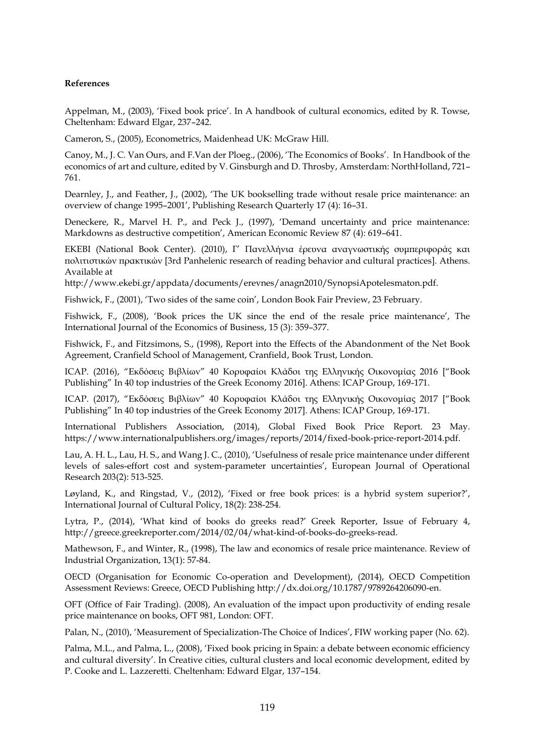#### **References**

Appelman, M., (2003), 'Fixed book price'. In A handbook of cultural economics, edited by R. Towse, Cheltenham: Edward Elgar, 237–242.

Cameron, S., (2005), Econometrics, Maidenhead UK: McGraw Hill.

Canoy, M., J. C. Van Ours, and F.Van der Ploeg., (2006), 'The Economics of Books'. In Handbook of the economics of art and culture, edited by V. Ginsburgh and D. Throsby, Amsterdam: NorthHolland, 721– 761.

Dearnley, J., and Feather, J., (2002), 'The UK bookselling trade without resale price maintenance: an overview of change 1995–2001', Publishing Research Quarterly 17 (4): 16–31.

Deneckere, R., Marvel H. P., and Peck J., (1997), 'Demand uncertainty and price maintenance: Markdowns as destructive competition', American Economic Review 87 (4): 619–641.

ΕΚΕΒΙ (National Book Center). (2010), Γ' Πανελλήνια έρευνα αναγνωστικής συμπεριφοράς και πολιτιστικών πρακτικών [3rd Panhelenic research of reading behavior and cultural practices]. Athens. Available at

http://www.ekebi.gr/appdata/documents/erevnes/anagn2010/SynopsiApotelesmaton.pdf.

Fishwick, F., (2001), 'Two sides of the same coin', London Book Fair Preview, 23 February.

Fishwick, F., (2008), 'Book prices the UK since the end of the resale price maintenance', The International Journal of the Economics of Business, 15 (3): 359–377.

Fishwick, F., and Fitzsimons, S., (1998), Report into the Effects of the Abandonment of the Net Book Agreement, Cranfield School of Management, Cranfield, Book Trust, London.

ΙCAP. (2016), "Εκδόσεις Βιβλίων" 40 Κορυφαίοι Κλάδοι της Ελληνικής Οικονομίας 2016 ["Book Publishing" In 40 top industries of the Greek Economy 2016]. Athens: ICAP Group, 169-171.

ΙCAP. (2017), "Εκδόσεις Βιβλίων" 40 Κορυφαίοι Κλάδοι της Ελληνικής Οικονομίας 2017 ["Book Publishing" In 40 top industries of the Greek Economy 2017]. Athens: ICAP Group, 169-171.

International Publishers Association, (2014), Global Fixed Book Price Report. 23 May. https://www.internationalpublishers.org/images/reports/2014/fixed-book-price-report-2014.pdf.

Lau, A. H. L., Lau, H. S., and Wang J. C., (2010), 'Usefulness of resale price maintenance under different levels of sales-effort cost and system-parameter uncertainties', European Journal of Operational Research 203(2): 513-525.

Løyland, K., and Ringstad, V., (2012), 'Fixed or free book prices: is a hybrid system superior?', International Journal of Cultural Policy, 18(2): 238-254.

Lytra, P., (2014), 'What kind of books do greeks read?' Greek Reporter, Issue of February 4, http://greece.greekreporter.com/2014/02/04/what-kind-of-books-do-greeks-read.

Mathewson, F., and Winter, R., (1998), The law and economics of resale price maintenance. Review of Industrial Organization, 13(1): 57-84.

OECD (Organisation for Economic Co-operation and Development), (2014), OECD Competition Assessment Reviews: Greece, OECD Publishing http://dx.doi.org/10.1787/9789264206090-en.

OFT (Office of Fair Trading). (2008), An evaluation of the impact upon productivity of ending resale price maintenance on books, OFT 981, London: OFT.

Palan, N., (2010), 'Measurement of Specialization-The Choice of Indices', FIW working paper (No. 62).

Palma, M.L., and Palma, L., (2008), 'Fixed book pricing in Spain: a debate between economic efficiency and cultural diversity'. In Creative cities, cultural clusters and local economic development, edited by P. Cooke and L. Lazzeretti. Cheltenham: Edward Elgar, 137–154.